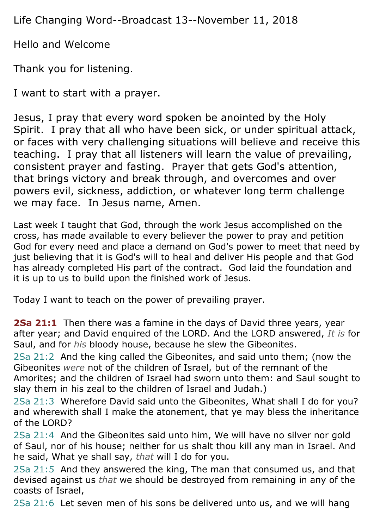Life Changing Word--Broadcast 13--November 11, 2018

Hello and Welcome

Thank you for listening.

I want to start with a prayer.

Jesus, I pray that every word spoken be anointed by the Holy Spirit. I pray that all who have been sick, or under spiritual attack, or faces with very challenging situations will believe and receive this teaching. I pray that all listeners will learn the value of prevailing, consistent prayer and fasting. Prayer that gets God's attention, that brings victory and break through, and overcomes and over powers evil, sickness, addiction, or whatever long term challenge we may face. In Jesus name, Amen.

Last week I taught that God, through the work Jesus accomplished on the cross, has made available to every believer the power to pray and petition God for every need and place a demand on God's power to meet that need by just believing that it is God's will to heal and deliver His people and that God has already completed His part of the contract. God laid the foundation and it is up to us to build upon the finished work of Jesus.

Today I want to teach on the power of prevailing prayer.

**2Sa 21:1** Then there was a famine in the days of David three years, year after year; and David enquired of the LORD. And the LORD answered, *It is* for Saul, and for *his* bloody house, because he slew the Gibeonites.

2Sa 21:2 And the king called the Gibeonites, and said unto them; (now the Gibeonites *were* not of the children of Israel, but of the remnant of the Amorites; and the children of Israel had sworn unto them: and Saul sought to slay them in his zeal to the children of Israel and Judah.)

2Sa 21:3 Wherefore David said unto the Gibeonites, What shall I do for you? and wherewith shall I make the atonement, that ye may bless the inheritance of the LORD?

2Sa 21:4 And the Gibeonites said unto him, We will have no silver nor gold of Saul, nor of his house; neither for us shalt thou kill any man in Israel. And he said, What ye shall say, *that* will I do for you.

2Sa 21:5 And they answered the king, The man that consumed us, and that devised against us *that* we should be destroyed from remaining in any of the coasts of Israel,

2Sa 21:6 Let seven men of his sons be delivered unto us, and we will hang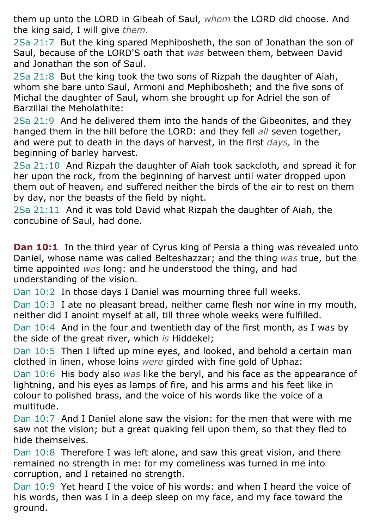them up unto the LORD in Gibeah of Saul, *whom* the LORD did choose. And the king said, I will give *them.*

2Sa 21:7 But the king spared Mephibosheth, the son of Jonathan the son of Saul, because of the LORD'S oath that *was* between them, between David and Jonathan the son of Saul.

2Sa 21:8 But the king took the two sons of Rizpah the daughter of Aiah, whom she bare unto Saul, Armoni and Mephibosheth; and the five sons of Michal the daughter of Saul, whom she brought up for Adriel the son of Barzillai the Meholathite:

2Sa 21:9 And he delivered them into the hands of the Gibeonites, and they hanged them in the hill before the LORD: and they fell *all* seven together, and were put to death in the days of harvest, in the first *days,* in the beginning of barley harvest.

2Sa 21:10 And Rizpah the daughter of Aiah took sackcloth, and spread it for her upon the rock, from the beginning of harvest until water dropped upon them out of heaven, and suffered neither the birds of the air to rest on them by day, nor the beasts of the field by night.

2Sa 21:11 And it was told David what Rizpah the daughter of Aiah, the concubine of Saul, had done.

**Dan 10:1** In the third year of Cyrus king of Persia a thing was revealed unto Daniel, whose name was called Belteshazzar; and the thing *was* true, but the time appointed *was* long: and he understood the thing, and had understanding of the vision.

Dan 10:2 In those days I Daniel was mourning three full weeks.

Dan 10:3 I ate no pleasant bread, neither came flesh nor wine in my mouth, neither did I anoint myself at all, till three whole weeks were fulfilled.

Dan 10:4 And in the four and twentieth day of the first month, as I was by the side of the great river, which *is* Hiddekel;

Dan 10:5 Then I lifted up mine eyes, and looked, and behold a certain man clothed in linen, whose loins *were* girded with fine gold of Uphaz:

Dan 10:6 His body also *was* like the beryl, and his face as the appearance of lightning, and his eyes as lamps of fire, and his arms and his feet like in colour to polished brass, and the voice of his words like the voice of a multitude.

Dan 10:7 And I Daniel alone saw the vision: for the men that were with me saw not the vision; but a great quaking fell upon them, so that they fled to hide themselves.

Dan 10:8 Therefore I was left alone, and saw this great vision, and there remained no strength in me: for my comeliness was turned in me into corruption, and I retained no strength.

Dan 10:9 Yet heard I the voice of his words: and when I heard the voice of his words, then was I in a deep sleep on my face, and my face toward the ground.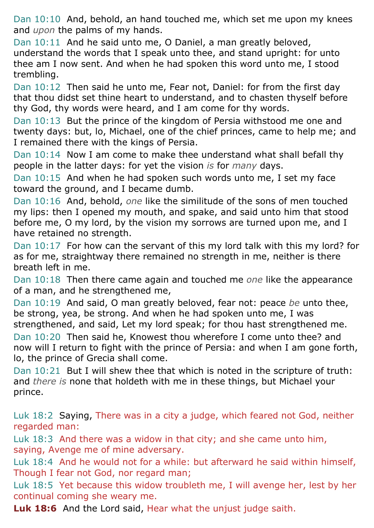Dan 10:10 And, behold, an hand touched me, which set me upon my knees and *upon* the palms of my hands.

Dan 10:11 And he said unto me, O Daniel, a man greatly beloved, understand the words that I speak unto thee, and stand upright: for unto thee am I now sent. And when he had spoken this word unto me, I stood trembling.

Dan 10:12 Then said he unto me, Fear not, Daniel: for from the first day that thou didst set thine heart to understand, and to chasten thyself before thy God, thy words were heard, and I am come for thy words.

Dan 10:13 But the prince of the kingdom of Persia withstood me one and twenty days: but, lo, Michael, one of the chief princes, came to help me; and I remained there with the kings of Persia.

Dan 10:14 Now I am come to make thee understand what shall befall thy people in the latter days: for yet the vision *is* for *many* days.

Dan 10:15 And when he had spoken such words unto me, I set my face toward the ground, and I became dumb.

Dan 10:16 And, behold, *one* like the similitude of the sons of men touched my lips: then I opened my mouth, and spake, and said unto him that stood before me, O my lord, by the vision my sorrows are turned upon me, and I have retained no strength.

Dan 10:17 For how can the servant of this my lord talk with this my lord? for as for me, straightway there remained no strength in me, neither is there breath left in me.

Dan 10:18 Then there came again and touched me *one* like the appearance of a man, and he strengthened me,

Dan 10:19 And said, O man greatly beloved, fear not: peace *be* unto thee, be strong, yea, be strong. And when he had spoken unto me, I was strengthened, and said, Let my lord speak; for thou hast strengthened me. Dan 10:20 Then said he, Knowest thou wherefore I come unto thee? and now will I return to fight with the prince of Persia: and when I am gone forth, lo, the prince of Grecia shall come.

Dan 10:21 But I will shew thee that which is noted in the scripture of truth: and *there is* none that holdeth with me in these things, but Michael your prince.

Luk 18:2 Saying, There was in a city a judge, which feared not God, neither regarded man:

Luk 18:3 And there was a widow in that city; and she came unto him, saying, Avenge me of mine adversary.

Luk 18:4 And he would not for a while: but afterward he said within himself, Though I fear not God, nor regard man;

Luk 18:5 Yet because this widow troubleth me, I will avenge her, lest by her continual coming she weary me.

**Luk 18:6** And the Lord said, Hear what the unjust judge saith.